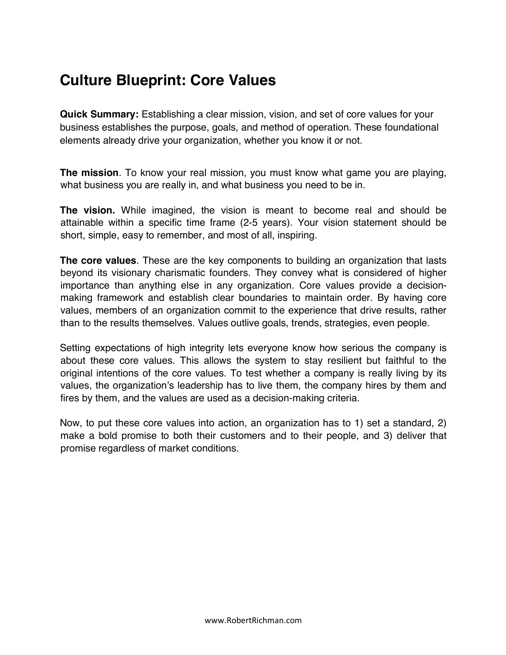## **Culture Blueprint: Core Values**

**Quick Summary:** Establishing a clear mission, vision, and set of core values for your business establishes the purpose, goals, and method of operation. These foundational elements already drive your organization, whether you know it or not.

**The mission**. To know your real mission, you must know what game you are playing, what business you are really in, and what business you need to be in.

**The vision.** While imagined, the vision is meant to become real and should be attainable within a specific time frame (2-5 years). Your vision statement should be short, simple, easy to remember, and most of all, inspiring.

**The core values**. These are the key components to building an organization that lasts beyond its visionary charismatic founders. They convey what is considered of higher importance than anything else in any organization. Core values provide a decisionmaking framework and establish clear boundaries to maintain order. By having core values, members of an organization commit to the experience that drive results, rather than to the results themselves. Values outlive goals, trends, strategies, even people.

Setting expectations of high integrity lets everyone know how serious the company is about these core values. This allows the system to stay resilient but faithful to the original intentions of the core values. To test whether a company is really living by its values, the organization's leadership has to live them, the company hires by them and fires by them, and the values are used as a decision-making criteria.

Now, to put these core values into action, an organization has to 1) set a standard, 2) make a bold promise to both their customers and to their people, and 3) deliver that promise regardless of market conditions.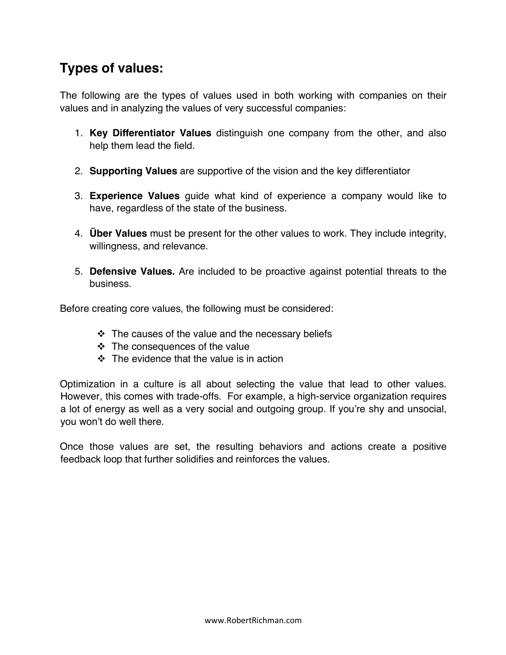## **Types of values:**

The following are the types of values used in both working with companies on their values and in analyzing the values of very successful companies:

- 1. **Key Differentiator Values** distinguish one company from the other, and also help them lead the field.
- 2. **Supporting Values** are supportive of the vision and the key differentiator
- 3. **Experience Values** guide what kind of experience a company would like to have, regardless of the state of the business.
- 4. **Über Values** must be present for the other values to work. They include integrity, willingness, and relevance.
- 5. **Defensive Values.** Are included to be proactive against potential threats to the business.

Before creating core values, the following must be considered:

- $\cdot$  The causes of the value and the necessary beliefs
- $\div$  The consequences of the value
- $\div$  The evidence that the value is in action

Optimization in a culture is all about selecting the value that lead to other values. However, this comes with trade-offs. For example, a high-service organization requires a lot of energy as well as a very social and outgoing group. If you're shy and unsocial, you won't do well there.

Once those values are set, the resulting behaviors and actions create a positive feedback loop that further solidifies and reinforces the values.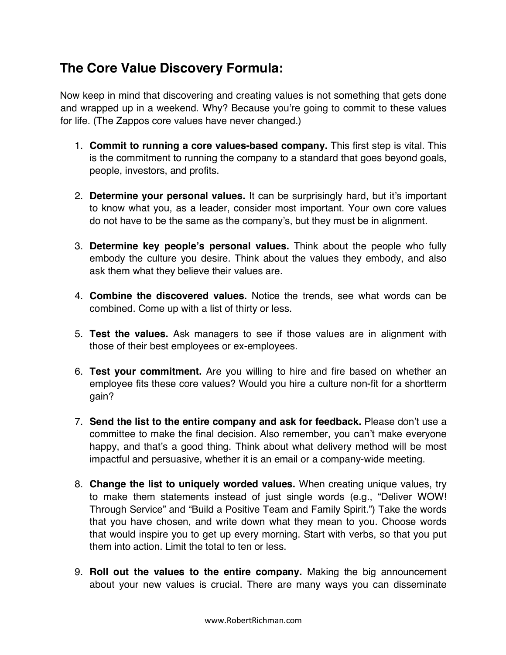## **The Core Value Discovery Formula:**

Now keep in mind that discovering and creating values is not something that gets done and wrapped up in a weekend. Why? Because you're going to commit to these values for life. (The Zappos core values have never changed.)

- 1. **Commit to running a core values-based company.** This first step is vital. This is the commitment to running the company to a standard that goes beyond goals, people, investors, and profits.
- 2. **Determine your personal values.** It can be surprisingly hard, but it's important to know what you, as a leader, consider most important. Your own core values do not have to be the same as the company's, but they must be in alignment.
- 3. **Determine key people's personal values.** Think about the people who fully embody the culture you desire. Think about the values they embody, and also ask them what they believe their values are.
- 4. **Combine the discovered values.** Notice the trends, see what words can be combined. Come up with a list of thirty or less.
- 5. **Test the values.** Ask managers to see if those values are in alignment with those of their best employees or ex-employees.
- 6. **Test your commitment.** Are you willing to hire and fire based on whether an employee fits these core values? Would you hire a culture non-fit for a shortterm gain?
- 7. **Send the list to the entire company and ask for feedback.** Please don't use a committee to make the final decision. Also remember, you can't make everyone happy, and that's a good thing. Think about what delivery method will be most impactful and persuasive, whether it is an email or a company-wide meeting.
- 8. **Change the list to uniquely worded values.** When creating unique values, try to make them statements instead of just single words (e.g., "Deliver WOW! Through Service" and "Build a Positive Team and Family Spirit.") Take the words that you have chosen, and write down what they mean to you. Choose words that would inspire you to get up every morning. Start with verbs, so that you put them into action. Limit the total to ten or less.
- 9. **Roll out the values to the entire company.** Making the big announcement about your new values is crucial. There are many ways you can disseminate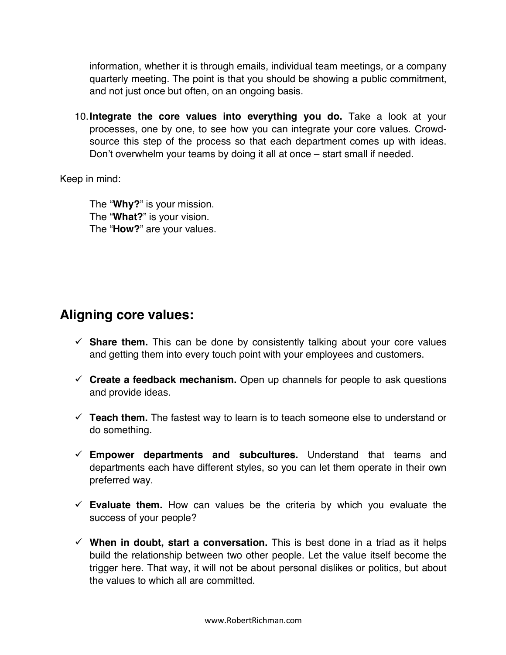information, whether it is through emails, individual team meetings, or a company quarterly meeting. The point is that you should be showing a public commitment, and not just once but often, on an ongoing basis.

10.**Integrate the core values into everything you do.** Take a look at your processes, one by one, to see how you can integrate your core values. Crowdsource this step of the process so that each department comes up with ideas. Don't overwhelm your teams by doing it all at once – start small if needed.

Keep in mind:

The "**Why?**" is your mission. The "**What?**" is your vision. The "**How?**" are your values.

## **Aligning core values:**

- $\checkmark$  Share them. This can be done by consistently talking about your core values and getting them into every touch point with your employees and customers.
- $\checkmark$  **Create a feedback mechanism.** Open up channels for people to ask questions and provide ideas.
- $\checkmark$  Teach them. The fastest way to learn is to teach someone else to understand or do something.
- $\checkmark$  Empower departments and subcultures. Understand that teams and departments each have different styles, so you can let them operate in their own preferred way.
- $\checkmark$  Evaluate them. How can values be the criteria by which you evaluate the success of your people?
- $\checkmark$  When in doubt, start a conversation. This is best done in a triad as it helps build the relationship between two other people. Let the value itself become the trigger here. That way, it will not be about personal dislikes or politics, but about the values to which all are committed.